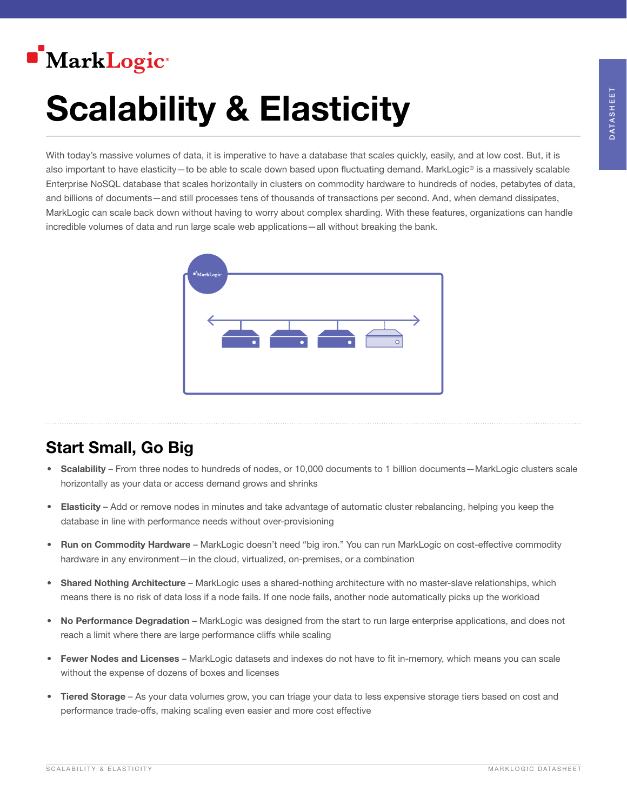

# Scalability & Elasticity

With today's massive volumes of data, it is imperative to have a database that scales quickly, easily, and at low cost. But, it is also important to have elasticity—to be able to scale down based upon fluctuating demand. MarkLogic® is a massively scalable Enterprise NoSQL database that scales horizontally in clusters on commodity hardware to hundreds of nodes, petabytes of data, and billions of documents—and still processes tens of thousands of transactions per second. And, when demand dissipates, MarkLogic can scale back down without having to worry about complex sharding. With these features, organizations can handle incredible volumes of data and run large scale web applications—all without breaking the bank.



## Start Small, Go Big

- Scalability From three nodes to hundreds of nodes, or 10,000 documents to 1 billion documents MarkLogic clusters scale horizontally as your data or access demand grows and shrinks
- Elasticity Add or remove nodes in minutes and take advantage of automatic cluster rebalancing, helping you keep the database in line with performance needs without over-provisioning
- Run on Commodity Hardware MarkLogic doesn't need "big iron." You can run MarkLogic on cost-effective commodity hardware in any environment—in the cloud, virtualized, on-premises, or a combination
- Shared Nothing Architecture MarkLogic uses a shared-nothing architecture with no master-slave relationships, which means there is no risk of data loss if a node fails. If one node fails, another node automatically picks up the workload
- No Performance Degradation MarkLogic was designed from the start to run large enterprise applications, and does not reach a limit where there are large performance cliffs while scaling
- Fewer Nodes and Licenses MarkLogic datasets and indexes do not have to fit in-memory, which means you can scale without the expense of dozens of boxes and licenses
- Tiered Storage As your data volumes grow, you can triage your data to less expensive storage tiers based on cost and performance trade-offs, making scaling even easier and more cost effective